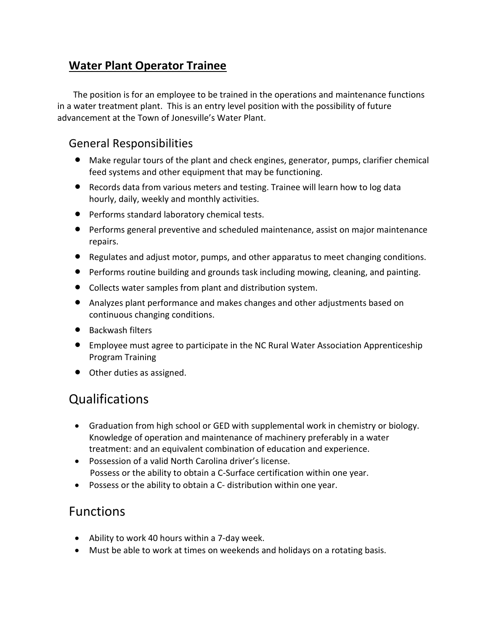### **Water Plant Operator Trainee**

 The position is for an employee to be trained in the operations and maintenance functions in a water treatment plant. This is an entry level position with the possibility of future advancement at the Town of Jonesville's Water Plant.

#### General Responsibilities

- Make regular tours of the plant and check engines, generator, pumps, clarifier chemical feed systems and other equipment that may be functioning.
- Records data from various meters and testing. Trainee will learn how to log data hourly, daily, weekly and monthly activities.
- **•** Performs standard laboratory chemical tests.
- Performs general preventive and scheduled maintenance, assist on major maintenance repairs.
- Regulates and adjust motor, pumps, and other apparatus to meet changing conditions.
- Performs routine building and grounds task including mowing, cleaning, and painting.
- Collects water samples from plant and distribution system.
- Analyzes plant performance and makes changes and other adjustments based on continuous changing conditions.
- Backwash filters
- Employee must agree to participate in the NC Rural Water Association Apprenticeship Program Training
- Other duties as assigned.

## Qualifications

- Graduation from high school or GED with supplemental work in chemistry or biology. Knowledge of operation and maintenance of machinery preferably in a water treatment: and an equivalent combination of education and experience.
- Possession of a valid North Carolina driver's license. Possess or the ability to obtain a C-Surface certification within one year.
- Possess or the ability to obtain a C- distribution within one year.

### Functions

- Ability to work 40 hours within a 7-day week.
- Must be able to work at times on weekends and holidays on a rotating basis.